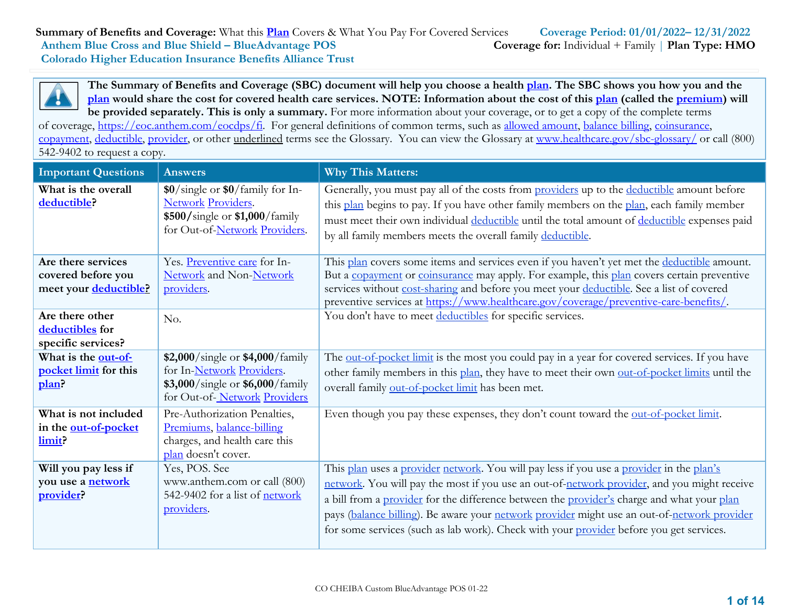**The Summary of Benefits and Coverage (SBC) document will help you choose a health plan. The SBC shows you how you and the plan would share the cost for covered health care services. NOTE: Information about the cost of this plan (called the premium) will be provided separately. This is only a summary.** For more information about your coverage, or to get a copy of the complete terms of coverage, https://eoc.anthem.com/eocdps/fi. For general definitions of common terms, such as allowed amount, balance billing, coinsurance,

copayment, deductible, provider, or other underlined terms see the Glossary. You can view the Glossary at www.healthcare.gov/sbc-glossary/ or call (800) 542-9402 to request a copy.

| <b>Important Questions</b>                                        | <b>Answers</b>                                                                                                                    | <b>Why This Matters:</b>                                                                                                                                                                                                                                                                                                                                                                                                                                                        |
|-------------------------------------------------------------------|-----------------------------------------------------------------------------------------------------------------------------------|---------------------------------------------------------------------------------------------------------------------------------------------------------------------------------------------------------------------------------------------------------------------------------------------------------------------------------------------------------------------------------------------------------------------------------------------------------------------------------|
| What is the overall<br>deductible?                                | \$0/single or \$0/family for In-<br>Network Providers.<br>\$500/single or \$1,000/family<br>for Out-of-Network Providers.         | Generally, you must pay all of the costs from providers up to the deductible amount before<br>this plan begins to pay. If you have other family members on the plan, each family member<br>must meet their own individual deductible until the total amount of deductible expenses paid<br>by all family members meets the overall family deductible.                                                                                                                           |
| Are there services<br>covered before you<br>meet your deductible? | Yes. Preventive care for In-<br>Network and Non-Network<br>providers.                                                             | This plan covers some items and services even if you haven't yet met the deductible amount.<br>But a copayment or coinsurance may apply. For example, this plan covers certain preventive<br>services without cost-sharing and before you meet your deductible. See a list of covered<br>preventive services at https://www.healthcare.gov/coverage/preventive-care-benefits/.                                                                                                  |
| Are there other<br>deductibles for<br>specific services?          | No.                                                                                                                               | You don't have to meet deductibles for specific services.                                                                                                                                                                                                                                                                                                                                                                                                                       |
| What is the out-of-<br>pocket limit for this<br>plan?             | \$2,000/single or \$4,000/family<br>for In-Network Providers.<br>\$3,000/single or \$6,000/family<br>for Out-of-Network Providers | The out-of-pocket limit is the most you could pay in a year for covered services. If you have<br>other family members in this plan, they have to meet their own out-of-pocket limits until the<br>overall family out-of-pocket limit has been met.                                                                                                                                                                                                                              |
| What is not included<br>in the out-of-pocket<br>limit?            | Pre-Authorization Penalties,<br>Premiums, balance-billing<br>charges, and health care this<br>plan doesn't cover.                 | Even though you pay these expenses, they don't count toward the out-of-pocket limit.                                                                                                                                                                                                                                                                                                                                                                                            |
| Will you pay less if<br>you use a network<br>provider?            | Yes, POS. See<br>www.anthem.com or call (800)<br>542-9402 for a list of network<br>providers.                                     | This plan uses a provider network. You will pay less if you use a provider in the plan's<br>network. You will pay the most if you use an out-of-network provider, and you might receive<br>a bill from a provider for the difference between the provider's charge and what your plan<br>pays (balance billing). Be aware your network provider might use an out-of-network provider<br>for some services (such as lab work). Check with your provider before you get services. |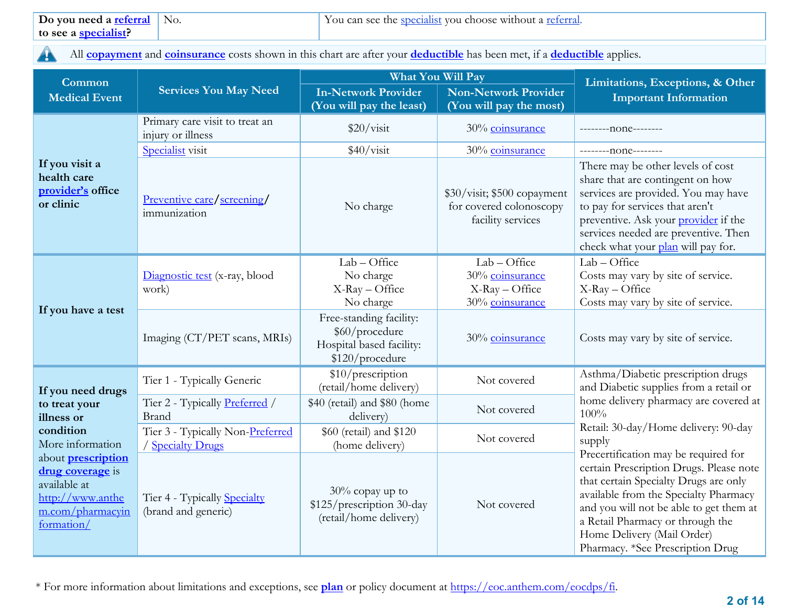| Do you need a refer | NO. | e the specialist you choose without a<br>You can.<br>SPP |
|---------------------|-----|----------------------------------------------------------|
| to see              |     |                                                          |

All **copayment** and **coinsurance** costs shown in this chart are after your **deductible** has been met, if a **deductible** applies. A

| Common                                                                                                                                               |                                                                                                                                                  | What You Will Pay                                                                                                                |                                                                             | Limitations, Exceptions, & Other                                                                                                                                                                                                                                                                                   |  |
|------------------------------------------------------------------------------------------------------------------------------------------------------|--------------------------------------------------------------------------------------------------------------------------------------------------|----------------------------------------------------------------------------------------------------------------------------------|-----------------------------------------------------------------------------|--------------------------------------------------------------------------------------------------------------------------------------------------------------------------------------------------------------------------------------------------------------------------------------------------------------------|--|
| <b>Medical Event</b>                                                                                                                                 | <b>Services You May Need</b><br><b>In-Network Provider</b><br><b>Non-Network Provider</b><br>(You will pay the least)<br>(You will pay the most) |                                                                                                                                  | <b>Important Information</b>                                                |                                                                                                                                                                                                                                                                                                                    |  |
|                                                                                                                                                      | Primary care visit to treat an<br>injury or illness                                                                                              | \$20/vist                                                                                                                        | 30% coinsurance                                                             | ---------none--------                                                                                                                                                                                                                                                                                              |  |
|                                                                                                                                                      | Specialist visit                                                                                                                                 | \$40/vist                                                                                                                        | 30% coinsurance                                                             | $-----none---$                                                                                                                                                                                                                                                                                                     |  |
| If you visit a<br>health care<br>provider's office<br>or clinic                                                                                      | Preventive care/screening/<br>immunization                                                                                                       | No charge                                                                                                                        | \$30/visit; \$500 copayment<br>for covered colonoscopy<br>facility services | There may be other levels of cost<br>share that are contingent on how<br>services are provided. You may have<br>to pay for services that aren't<br>preventive. Ask your <i>provider</i> if the<br>services needed are preventive. Then<br>check what your plan will pay for.                                       |  |
| If you have a test                                                                                                                                   | Diagnostic test (x-ray, blood<br>work)                                                                                                           | Lab - Office<br>Lab - Office<br>30% coinsurance<br>No charge<br>X-Ray - Office<br>$X-Ray-Office$<br>30% coinsurance<br>No charge |                                                                             | $Lab - Office$<br>Costs may vary by site of service.<br>$X-Ray-Office$<br>Costs may vary by site of service.                                                                                                                                                                                                       |  |
|                                                                                                                                                      | Imaging (CT/PET scans, MRIs)                                                                                                                     | Free-standing facility:<br>\$60/procedure<br>Hospital based facility:<br>\$120/procedure                                         | 30% coinsurance                                                             | Costs may vary by site of service.                                                                                                                                                                                                                                                                                 |  |
| If you need drugs                                                                                                                                    | Tier 1 - Typically Generic                                                                                                                       | \$10/prescription<br>(retail/home delivery)                                                                                      | Not covered                                                                 | Asthma/Diabetic prescription drugs<br>and Diabetic supplies from a retail or                                                                                                                                                                                                                                       |  |
| to treat your<br>illness or                                                                                                                          | Tier 2 - Typically Preferred /<br><b>Brand</b>                                                                                                   | \$40 (retail) and \$80 (home<br>delivery)                                                                                        | Not covered                                                                 | home delivery pharmacy are covered at<br>100%                                                                                                                                                                                                                                                                      |  |
| condition<br>More information<br>about <b>prescription</b><br>drug coverage is<br>available at<br>http://www.anthe<br>m.com/pharmacyin<br>formation/ | Tier 3 - Typically Non-Preferred<br>/ Specialty Drugs                                                                                            | \$60 (retail) and \$120<br>(home delivery)                                                                                       | Not covered                                                                 | Retail: 30-day/Home delivery: 90-day<br>supply                                                                                                                                                                                                                                                                     |  |
|                                                                                                                                                      | Tier 4 - Typically Specialty<br>(brand and generic)                                                                                              | 30% copay up to<br>\$125/prescription 30-day<br>(retail/home delivery)                                                           | Not covered                                                                 | Precertification may be required for<br>certain Prescription Drugs. Please note<br>that certain Specialty Drugs are only<br>available from the Specialty Pharmacy<br>and you will not be able to get them at<br>a Retail Pharmacy or through the<br>Home Delivery (Mail Order)<br>Pharmacy. *See Prescription Drug |  |

\* For more information about limitations and exceptions, see **plan** or policy document at https://eoc.anthem.com/eocdps/fi.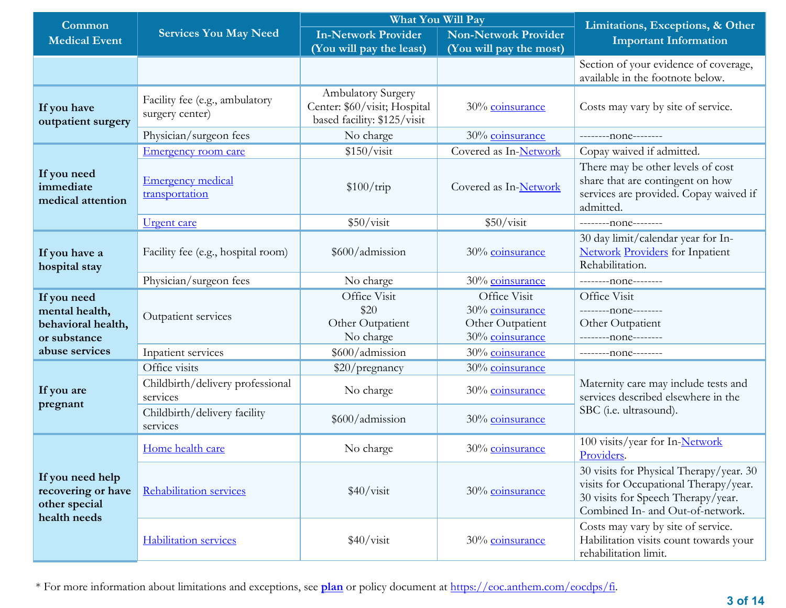| Common                                                                  |                                                                                                                                                  | What You Will Pay                                                                 |                                                                        | Limitations, Exceptions, & Other                                                                                                                           |  |
|-------------------------------------------------------------------------|--------------------------------------------------------------------------------------------------------------------------------------------------|-----------------------------------------------------------------------------------|------------------------------------------------------------------------|------------------------------------------------------------------------------------------------------------------------------------------------------------|--|
| <b>Medical Event</b>                                                    | <b>Services You May Need</b><br><b>In-Network Provider</b><br><b>Non-Network Provider</b><br>(You will pay the most)<br>(You will pay the least) |                                                                                   | <b>Important Information</b>                                           |                                                                                                                                                            |  |
|                                                                         |                                                                                                                                                  |                                                                                   |                                                                        | Section of your evidence of coverage,<br>available in the footnote below.                                                                                  |  |
| If you have<br>outpatient surgery                                       | Facility fee (e.g., ambulatory<br>surgery center)                                                                                                | Ambulatory Surgery<br>Center: \$60/visit; Hospital<br>based facility: \$125/visit | 30% coinsurance                                                        | Costs may vary by site of service.                                                                                                                         |  |
|                                                                         | Physician/surgeon fees                                                                                                                           | No charge                                                                         | 30% coinsurance                                                        | ---------none--------                                                                                                                                      |  |
|                                                                         | <b>Emergency room care</b>                                                                                                                       | \$150/vist                                                                        | Covered as In-Network                                                  | Copay waived if admitted.                                                                                                                                  |  |
| If you need<br>immediate<br>medical attention                           | <b>Emergency medical</b><br>transportation                                                                                                       | \$100/trip                                                                        | Covered as In-Network                                                  | There may be other levels of cost<br>share that are contingent on how<br>services are provided. Copay waived if<br>admitted.                               |  |
|                                                                         | <u>Urgent care</u>                                                                                                                               | \$50/visit                                                                        | \$50/visit                                                             | ---------none--------                                                                                                                                      |  |
| If you have a<br>hospital stay                                          | Facility fee (e.g., hospital room)                                                                                                               | \$600/admission                                                                   | 30% coinsurance                                                        | 30 day limit/calendar year for In-<br><b>Network Providers</b> for Inpatient<br>Rehabilitation.                                                            |  |
|                                                                         | Physician/surgeon fees                                                                                                                           | No charge                                                                         | 30% coinsurance                                                        | ---------none--------                                                                                                                                      |  |
| If you need<br>mental health,<br>behavioral health,<br>or substance     | Outpatient services                                                                                                                              | Office Visit<br>\$20<br>Other Outpatient<br>No charge                             | Office Visit<br>30% coinsurance<br>Other Outpatient<br>30% coinsurance | Office Visit<br>---------none--------<br>Other Outpatient<br>---------none--------                                                                         |  |
| abuse services                                                          | Inpatient services                                                                                                                               | \$600/admission                                                                   | 30% coinsurance                                                        | ---------none--------                                                                                                                                      |  |
|                                                                         | Office visits                                                                                                                                    | \$20/pregnancy                                                                    | 30% coinsurance                                                        |                                                                                                                                                            |  |
| If you are                                                              | Childbirth/delivery professional<br>services                                                                                                     | No charge                                                                         | 30% coinsurance                                                        | Maternity care may include tests and<br>services described elsewhere in the                                                                                |  |
| pregnant                                                                | Childbirth/delivery facility<br>\$600/admission<br>services                                                                                      |                                                                                   | 30% coinsurance                                                        | SBC (i.e. ultrasound).                                                                                                                                     |  |
|                                                                         | Home health care                                                                                                                                 | No charge                                                                         | 30% coinsurance                                                        | 100 visits/year for In-Network<br>Providers.                                                                                                               |  |
| If you need help<br>recovering or have<br>other special<br>health needs | Rehabilitation services                                                                                                                          | \$40/vist                                                                         | 30% coinsurance                                                        | 30 visits for Physical Therapy/year. 30<br>visits for Occupational Therapy/year.<br>30 visits for Speech Therapy/year.<br>Combined In- and Out-of-network. |  |
|                                                                         | <b>Habilitation services</b>                                                                                                                     | \$40/vist                                                                         | 30% coinsurance                                                        | Costs may vary by site of service.<br>Habilitation visits count towards your<br>rehabilitation limit.                                                      |  |

\* For more information about limitations and exceptions, see **plan** or policy document at https://eoc.anthem.com/eocdps/fi.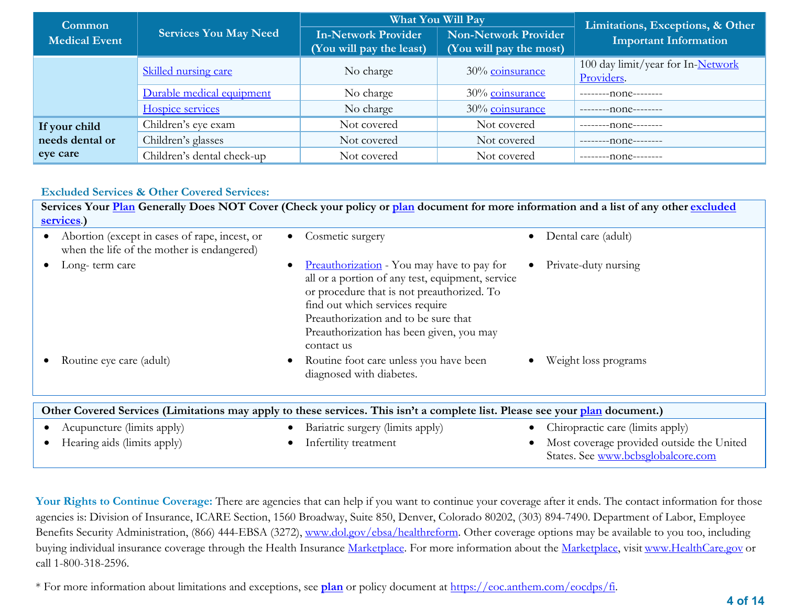| Common               |                              |                                                        | What You Will Pay                                      | Limitations, Exceptions, & Other<br><b>Important Information</b> |  |
|----------------------|------------------------------|--------------------------------------------------------|--------------------------------------------------------|------------------------------------------------------------------|--|
| <b>Medical Event</b> | <b>Services You May Need</b> | <b>In-Network Provider</b><br>(You will pay the least) | <b>Non-Network Provider</b><br>(You will pay the most) |                                                                  |  |
|                      | <b>Skilled nursing care</b>  | No charge                                              | 30% coinsurance                                        | 100 day limit/year for In-Network<br>Providers.                  |  |
|                      | Durable medical equipment    | No charge                                              | 30% coinsurance                                        | $-----non----$                                                   |  |
|                      | Hospice services             | No charge                                              | 30% coinsurance                                        | $-----nonex$                                                     |  |
| If your child        | Children's eye exam          | Not covered                                            | Not covered                                            | $-----nonex$                                                     |  |
| needs dental or      | Children's glasses           | Not covered                                            | Not covered                                            | $-----non-1$                                                     |  |
| eye care             | Children's dental check-up   | Not covered                                            | Not covered                                            | $------1001e---$                                                 |  |

#### **Excluded Services & Other Covered Services:**

**Services Your Plan Generally Does NOT Cover (Check your policy or plan document for more information and a list of any other excluded services**.**)**  Abortion (except in cases of rape, incest, or when the life of the mother is endangered) • Cosmetic surgery  $\bullet$  Dental care (adult) • Long-term care • Preauthorization - You may have to pay for  $\bullet$ Private-duty nursing

all or a portion of any test, equipment, service or procedure that is not preauthorized. To find out which services require Preauthorization and to be sure that Preauthorization has been given, you may contact us $\bullet$ Routine eye care (adult) <br>
Routine foot care unless you have been diagnosed with diabetes. . Weight loss programs

**Other Covered Services (Limitations may apply to these services. This isn't a complete list. Please see your plan document.)** 

 $\bullet$ Acupuncture (limits apply) <br>
• Bariatric surgery (limits apply) <br>
• Chiropractic care (limits apply)

 $\bullet$ 

- 
- Hearing aids (limits apply) Infertility treatment Most coverage provided outside the United States. See www.bcbsglobalcore.com

Your Rights to Continue Coverage: There are agencies that can help if you want to continue your coverage after it ends. The contact information for those agencies is: Division of Insurance, ICARE Section, 1560 Broadway, Suite 850, Denver, Colorado 80202, (303) 894-7490. Department of Labor, Employee Benefits Security Administration, (866) 444-EBSA (3272), www.dol.gov/ebsa/healthreform. Other coverage options may be available to you too, including buying individual insurance coverage through the Health Insurance Marketplace. For more information about the Marketplace, visit www.HealthCare.gov or call 1-800-318-2596.

\* For more information about limitations and exceptions, see **plan** or policy document at https://eoc.anthem.com/eocdps/fi.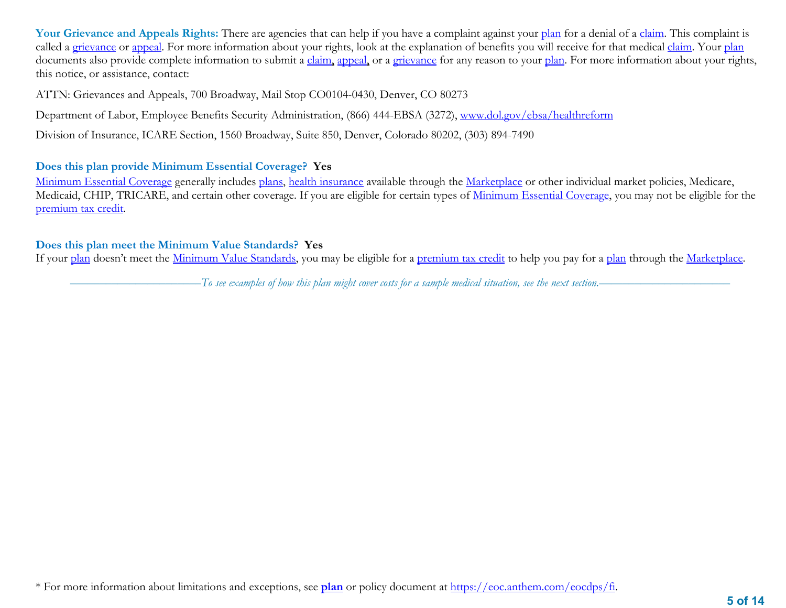Your Grievance and Appeals Rights: There are agencies that can help if you have a complaint against your plan for a denial of a claim. This complaint is called a grievance or appeal. For more information about your rights, look at the explanation of benefits you will receive for that medical claim. Your plan documents also provide complete information to submit a claim, appeal, or a grievance for any reason to your plan. For more information about your rights, this notice, or assistance, contact:

ATTN: Grievances and Appeals, 700 Broadway, Mail Stop CO0104-0430, Denver, CO 80273

Department of Labor, Employee Benefits Security Administration, (866) 444-EBSA (3272), www.dol.gov/ebsa/healthreform

Division of Insurance, ICARE Section, 1560 Broadway, Suite 850, Denver, Colorado 80202, (303) 894-7490

## **Does this plan provide Minimum Essential Coverage? Yes**

Minimum Essential Coverage generally includes plans, health insurance available through the Marketplace or other individual market policies, Medicare, Medicaid, CHIP, TRICARE, and certain other coverage. If you are eligible for certain types of Minimum Essential Coverage, you may not be eligible for the premium tax credit.

## **Does this plan meet the Minimum Value Standards? Yes**

If your plan doesn't meet the Minimum Value Standards, you may be eligible for a premium tax credit to help you pay for a plan through the Marketplace.

––––––––––––––––––––––*To see examples of how this plan might cover costs for a sample medical situation, see the next section.–––––––––––*–––––––––––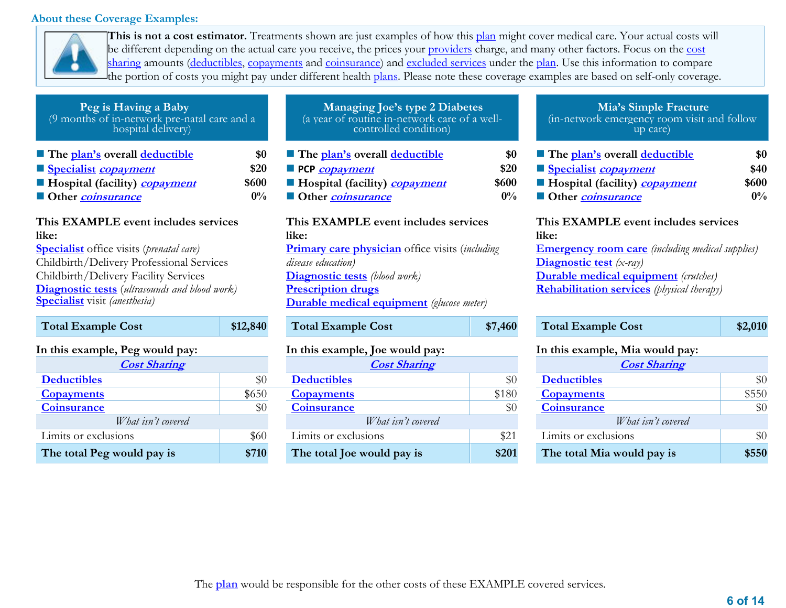### **About these Coverage Examples:**



**This is not a cost estimator.** Treatments shown are just examples of how this plan might cover medical care. Your actual costs will be different depending on the actual care you receive, the prices your providers charge, and many other factors. Focus on the cost sharing amounts (deductibles, copayments and coinsurance) and excluded services under the plan. Use this information to compare the portion of costs you might pay under different health plans. Please note these coverage examples are based on self-only coverage.

| $\left  \text{Peg} \right $ is Having a Baby                       |
|--------------------------------------------------------------------|
| (9 months of in-network pre-natal care and a<br>hospital delivery) |
|                                                                    |

| The plan's overall deductible        |  |
|--------------------------------------|--|
| Specialist <i>copayment</i>          |  |
| Hospital (facility) <b>copayment</b> |  |
| <b>Other</b> coinsurance             |  |

### **This EXAMPLE event includes services like:**

**Specialist** office visits (*prenatal care)* Childbirth/Delivery Professional Services Childbirth/Delivery Facility Services **Diagnostic tests** (*ultrasounds and blood work)*  **Specialist** visit *(anesthesia)*

| <b>Total Example Cost</b>       | \$12,840 |  |  |  |
|---------------------------------|----------|--|--|--|
| In this example, Peg would pay: |          |  |  |  |
| <b>Cost Sharing</b>             |          |  |  |  |
| <b>Deductibles</b>              | \$0      |  |  |  |
| <b>Copayments</b>               | \$650    |  |  |  |
| <b>Coinsurance</b>              | \$0      |  |  |  |
| What isn't covered              |          |  |  |  |
| Limits or exclusions            |          |  |  |  |

The total Peg would pay is \$710

| Managing Joe's type 2 Diabetes                                         |
|------------------------------------------------------------------------|
| (a year of routine in-network care of a well-<br>controlled condition) |
|                                                                        |

| The <u>plan's</u> overall <u>deductible</u> |  |
|---------------------------------------------|--|
| <b>PCP</b> copayment                        |  |
| Hospital (facility) <b>copayment</b>        |  |
| <b>Other</b> <i>coinsurance</i>             |  |

### **This EXAMPLE event includes services like: Primary care physician** office visits (*including disease education)* **Diagnostic tests** *(blood work)*  **Prescription drugs Durable medical equipment** *(glucose meter)*

### In this example, Joe would pay:

| <b>Cost Sharing</b> |       | <b>Cost Sharing</b>        |       | <b>Cost Sharing</b>        |
|---------------------|-------|----------------------------|-------|----------------------------|
|                     | $\$0$ | <b>Deductibles</b>         | $\$0$ | <b>Deductibles</b>         |
|                     | \$650 | <b>Copayments</b>          | \$180 | <b>Copayments</b>          |
|                     | \$0   | <b>Coinsurance</b>         | $\$0$ | <b>Coinsurance</b>         |
| Vhat isn't covered  |       | What isn't covered         |       | What isn't covered         |
| ons.                | \$60  | Limits or exclusions       | \$21  | Limits or exclusions       |
| ould pay is         | \$710 | The total Joe would pay is | \$201 | The total Mia would pay is |

## **Mia's Simple Fracture**  (in-network emergency room visit and follow up care)

| The plan's overall deductible          | \$0 The plan's overall deductible              | \$0 The plan's overall deductible              | \$0   |
|----------------------------------------|------------------------------------------------|------------------------------------------------|-------|
| Specialist <i>copayment</i>            | \$20 PCP copayment                             | \$20 Specialist <i>copayment</i>               | \$40  |
| ■ Hospital (facility) <i>copayment</i> | \$600 ••• Hospital (facility) <b>copayment</b> | \$600 • • Hospital (facility) <i>copayment</i> | \$600 |
| Other <i>coinsurance</i>               | $0\%$ Other <i>coinsurance</i>                 | $0\%$ Other <i>coinsurance</i>                 | $0\%$ |

#### **This EXAMPLE event includes services like:**

**Emergency room care** *(including medical supplies)* **Diagnostic test** *(x-ray)* **Durable medical equipment** *(crutches)* **Rehabilitation services** *(physical therapy)* 

| Total Example Cost                           | \$12,840 | <b>Total Example Cost</b>       | \$7,460 | <b>Total Example Cost</b>       | \$2,010 |
|----------------------------------------------|----------|---------------------------------|---------|---------------------------------|---------|
| n this example, Peg would pay:               |          | In this example, Joe would pay: |         | In this example, Mia would pay: |         |
| <b>Cost Sharing</b>                          |          | <b>Cost Sharing</b>             |         | <b>Cost Sharing</b>             |         |
| <b>Deductibles</b>                           | \$0      | <b>Deductibles</b>              | $\$0$   | <b>Deductibles</b>              | \$0     |
| <b>Copayments</b>                            | \$650    | <b>Copayments</b>               | \$180   | <b>Copayments</b>               | \$550   |
| <b>Coinsurance</b>                           | \$0      | <b>Coinsurance</b>              | $\$0$   | <b>Coinsurance</b>              | \$0     |
| What isn't covered                           |          | What isn't covered              |         | What isn't covered              |         |
| Limits or exclusions                         | \$60     | Limits or exclusions            | \$21    | Limits or exclusions            | \$0     |
| The total $\mathbf{p}_{\alpha}$ would nay is | \$710    | The total Loe would pay is      | \$201   | The total Mia would pay is      | \$550   |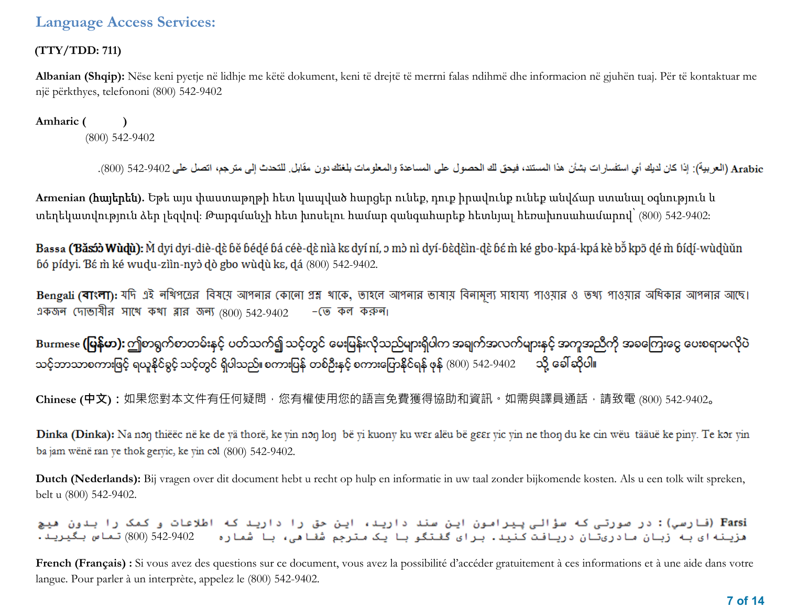## **(TTY/TDD: 711)**

**Albanian (Shqip):** Nëse keni pyetje në lidhje me këtë dokument, keni të drejtë të merrni falas ndihmë dhe informacion në gjuhën tuaj. Për të kontaktuar me një përkthyes, telefononi (800) 542-9402

## **Amharic ()**

(800) 542-9402

Arabic (العربية): إذا كان لديك أي استفسار ات بشأن هذا المستند، فيحق لك الحصول على المساعدة والمعلومات بلغتك دون مقابل للتحدث إلى مترجم، اتصل على 9402-542 (800).

**Armenian (**հայերեն**).** Եթե այս փաստաթղթի հետ կապված հարցեր ունեք, դուք իրավունք ունեք անվճար ստանալ օգնություն և տեղեկատվություն ձեր լեզվով: Թարգմանչի հետ խոսելու համար զանգահարեք հետևյալ հեռախոսահամարով՝ (800) 542-9402:

Bassa (Băsóò Wùdù): M dyi dyi-diè-dè bě bédé bá céè-dè nìà kɛ dyí ní, ɔ mò nì dyí-bèdèin-dè bé m ké gbo-kpá-kpá kè bỗ kpõ dé m̀ bídí-wùdùŭn bó pídyi. Bé m ké wudu-ziìn-nyò dò gbo wùdù ke, dá (800) 542-9402.

Bengali (বাংলা): যদি এই নথিপত্রের বিষয়ে আপনার কোনো প্রশ্ন খাকে, তাহলে আপনার ভাষায় বিনামূল্য সাওয়ার ও তথ্য পাওয়ার অধিকার আপনার আছে। একজন দোভাষীর সাথে কথা ব্লার জন্য (৪00) 542-9402 - তে কল করুন।

Burmese **(မြန်မာ):** ဤစာရွက်စာတမ်းနှင့် ပတ်သက်၍ သင့်တွင် မေးမြန်းလိုသည်များရှိပါက အချက်အလက်များနှင့် အကူအညီကို အခကြေးငွေ ပေးစရာမလိုပဲ သင့်ဘာသာစကားဖြင့် ရယူနိုင်ခွင့် သင့်တွင် ရှိပါသည်။ စကားပြန် တစ်ဦးနှင့် စကားပြောနိုင်ရန် ဖုန် (800) 542-9402  $\,$  သို့ ခေါ် ဆိုပါ။

**Chinese (中文):**如果您對本文件有任何疑問,您有權使用您的語言免費獲得協助和資訊。如需與譯員通話,請致電 (800) 542-9402。

Dinka (Dinka): Na non thiëëc në ke de yä thorë, ke yin non lon bë yi kuony ku wer alëu bë geer yic yin ne thon du ke cin wëu tääuë ke piny. Te kor yin ba jam wënë ran ye thok geryic, ke yin col (800) 542-9402.

**Dutch (Nederlands):** Bij vragen over dit document hebt u recht op hulp en informatie in uw taal zonder bijkomende kosten. Als u een tolk wilt spreken, belt u (800) 542-9402.

.<br>Farsi (فارسی): در صورتی که سؤالی پیرامون این سند دارید، این حق را دارید که اطلاعات و کمک را بدون هیچ هزینه ای به زبان مادریتان دریافت کنید. برای گفتگو با یک مترجم شفاهی، با شماره = 542-9402 (800) تماس بگیرید.

French (Français) : Si vous avez des questions sur ce document, vous avez la possibilité d'accéder gratuitement à ces informations et à une aide dans votre langue. Pour parler à un interprète, appelez le (800) 542-9402.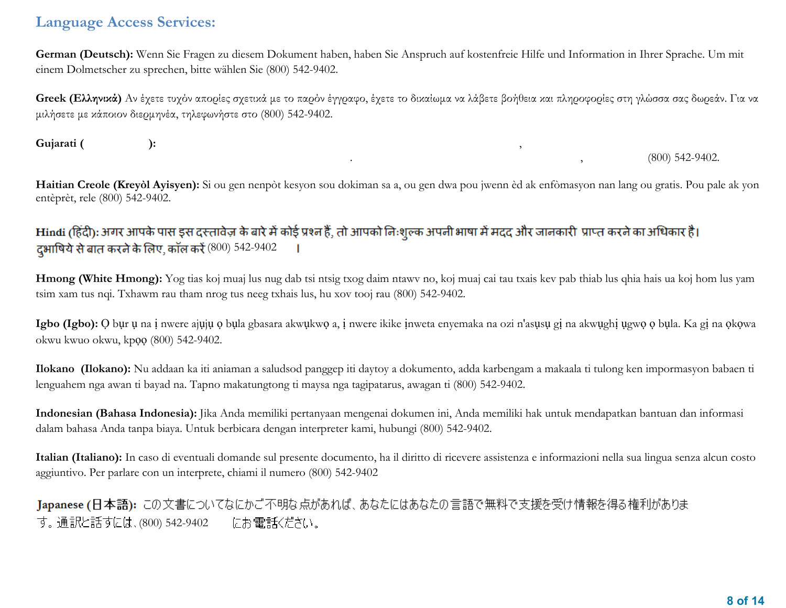**German (Deutsch):** Wenn Sie Fragen zu diesem Dokument haben, haben Sie Anspruch auf kostenfreie Hilfe und Information in Ihrer Sprache. Um mit einem Dolmetscher zu sprechen, bitte wählen Sie (800) 542-9402.

**Greek (Ελληνικά)** Αν έχετε τυχόν απορίες σχετικά με το παρόν έγγραφο, έχετε το δικαίωμα να λάβετε βοήθεια και πληροφορίες στη <sup>γ</sup>λώσσα σας δωρεάν. Για να μιλήσετε με κάποιον διερμηνέα, τηλεφωνήστε στο (800) 542-9402.

**Gujarati ():** ,

.  $(800)$  542-9402.

**Haitian Creole (Kreyòl Ayisyen):** Si ou gen nenpòt kesyon sou dokiman sa a, ou gen dwa pou jwenn èd ak enfòmasyon nan lang ou gratis. Pou pale ak yon entèprèt, rele (800) 542-9402.

Hindi (हिंदी): अगर आपके पास इस दस्तावेज़ के बारे में कोई प्रश्न हैं, तो आपको निःशुल्क अपनी भाषा में मदद और जानकारी प्राप्त करने का अधिकार है। दुभाषिये से बात करने के लिए, कॉल करें  $(800)$  542-9402 |

**Hmong (White Hmong):** Yog tias koj muaj lus nug dab tsi ntsig txog daim ntawv no, koj muaj cai tau txais kev pab thiab lus qhia hais ua koj hom lus yam tsim xam tus nqi. Txhawm rau tham nrog tus neeg txhais lus, hu xov tooj rau (800) 542-9402.

**Igbo (Igbo):** Ọ bụr ụ na ị nwere ajụj<sup>ụ</sup> <sup>ọ</sup> bụla gbasara akwụkwọ a, ị nwere ikike ịnweta enyemaka na ozi n'asụsụ gị na akwụghị <sup>ụ</sup>gw<sup>ọ</sup> <sup>ọ</sup> bụla. Ka gị na ọkọwa okwu kwuo okwu, kpọọ (800) 542-9402.

**Ilokano (Ilokano):** Nu addaan ka iti aniaman a saludsod panggep iti daytoy a dokumento, adda karbengam a makaala ti tulong ken impormasyon babaen ti lenguahem nga awan ti bayad na. Tapno makatungtong ti maysa nga tagipatarus, awagan ti (800) 542-9402.

**Indonesian (Bahasa Indonesia):** Jika Anda memiliki pertanyaan mengenai dokumen ini, Anda memiliki hak untuk mendapatkan bantuan dan informasi dalam bahasa Anda tanpa biaya. Untuk berbicara dengan interpreter kami, hubungi (800) 542-9402.

**Italian (Italiano):** In caso di eventuali domande sul presente documento, ha il diritto di ricevere assistenza e informazioni nella sua lingua senza alcun costo aggiuntivo. Per parlare con un interprete, chiami il numero (800) 542-9402

Japanese (日本語): この文書についてなにかご不明な点があれば、あなたにはあなたの言語で無料で支援を受け情報を得る権利がありま す。通訳と話すには、(800) 542-9402 にお電話ください。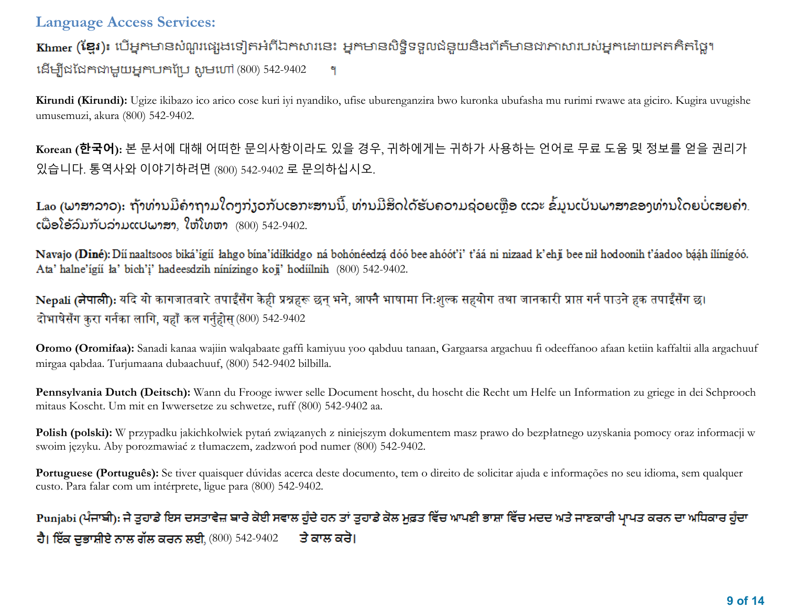Khmer (ខ្មែរ)៖ បើអ្នកមានសំណួរផ្សេងទៀតអំពីឯកសារនេះ អ្នកមានសិទ្ធិទទួលជំនួយនិងព័ត៌មានជាភាសារបស់អ្នកដោយឥតគិតថ្លៃ។ (800) 542-9402 ٩

**Kirundi (Kirundi):** Ugize ikibazo ico arico cose kuri iyi nyandiko, ufise uburenganzira bwo kuronka ubufasha mu rurimi rwawe ata giciro. Kugira uvugishe umusemuzi, akura (800) 542-9402.

**Korean (한국어):** 본 문서에 대해 어떠한 문의사항이라도 있을 경우, 귀하에게는 귀하가 사용하는 언어로 무료 도움 및 정보를 얻을 권리가 있습니다. 통역사와 이야기하려면 (800) 542-9402 <sup>로</sup> 문의하십시오.

Lao (ພາສາລາວ): ຖ້າທ່ານມີຄຳຖາມໃດໆກ່ຽວກັບເອກະສານນີ້, ທ່ານມີສິດໄດ້ຮັບຄວາມຊ່ວຍເຫຼືອ ແລະ ຂໍ້ມູນເປັນພາສາຂອງທ່ານໂດຍບໍ່ເສຍຄ່າ.  $c$ ພື່ອໂອ້ລົມກັບລ່າມແປພາສາ, ໃຫ້ໂທຫາ  $(800)$  542-9402.

Navajo (Diné): Díí naaltsoos biká'ígíí lahgo bína'ídílkidgo ná bohónéedzá dóó bee ahóót'i' t'áá ni nizaad k'ehj bee nil hodoonih t'áadoo bááh ilínígóó. Ata' halne'ígíi ła' bich'i' hadeesdzih nínízingo koji' hodíilnih (800) 542-9402.

Nepali (नेपाली): यदि यो कागजातबारे तपाईँसँग केही प्रश्नहरू छन् भने, आफ्नै भाषामा निःशुल्क सहयोग तथा जानकारी प्राप्त गर्न पाउने हक तपाईँसँग छ। दोभाषेसँग करा गर्नका लागि, यहाँ कल गर्नहोस (800) 542-9402

**Oromo (Oromifaa):** Sanadi kanaa wajiin walqabaate gaffi kamiyuu yoo qabduu tanaan, Gargaarsa argachuu fi odeeffanoo afaan ketiin kaffaltii alla argachuuf mirgaa qabdaa. Turjumaana dubaachuuf, (800) 542-9402 bilbilla.

**Pennsylvania Dutch (Deitsch):** Wann du Frooge iwwer selle Document hoscht, du hoscht die Recht um Helfe un Information zu griege in dei Schprooch mitaus Koscht. Um mit en Iwwersetze zu schwetze, ruff (800) 542-9402 aa.

**Polish (polski):** W przypadku jakichkolwiek pytań związanych z niniejszym dokumentem masz prawo do bezpłatnego uzyskania pomocy oraz informacji w swoim języku. Aby porozmawiać z tłumaczem, zadzwoń pod numer (800) 542-9402.

**Portuguese (Português):** Se tiver quaisquer dúvidas acerca deste documento, tem o direito de solicitar ajuda e informações no seu idioma, sem qualquer custo. Para falar com um intérprete, ligue para (800) 542-9402.

Punjabi (ਪੰਜਾਬੀ): ਜੇ ਤੁਹਾਡੇ ਇਸ ਦਸਤਾਵੇਜ਼ ਬਾਰੇ ਕੋਈ ਸਵਾਲ ਹੁੰਦੇ ਹਨ ਤਾਂ ਤੁਹਾਡੇ ਕੋਲ ਮੁਫ਼ਤ ਵਿੱਚ ਆਪਣੀ ਭਾਸ਼ਾ ਵਿੱਚ ਮਦਦ ਅਤੇ ਜਾਣਕਾਰੀ ਪਾਪਤ ਕਰਨ ਦਾ ਅਧਿਕਾਰ ਹੁੰਦਾ ਹੈ। ਇੱਕ ਦਭਾਸ਼ੀਏ ਨਾਲ ਗੱਲ ਕਰਨ ਲਈ (800) 542-9402 ਤੇ ਕਾਲ ਕਰੋ।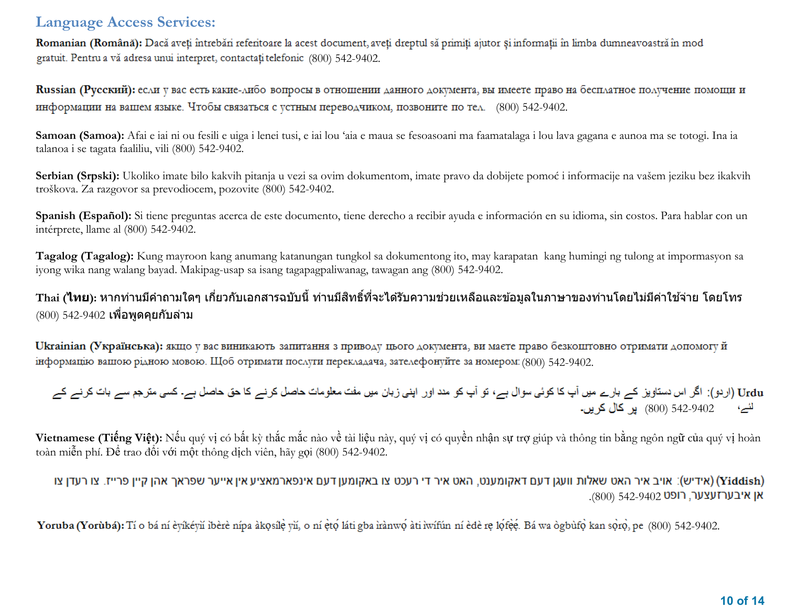Romanian (Română): Dacă aveți întrebări referitoare la acest document, aveți dreptul să primiți ajutor și informații în limba dumneavoastră în mod gratuit. Pentru a vă adresa unui interpret, contactați telefonic (800) 542-9402.

Russian (Русский): если у вас есть какие-либо вопросы в отношении данного документа, вы имеете право на бесплатное получение помощи и информации на вашем языке. Чтобы связаться с устным переводчиком, позвоните по тел. (800) 542-9402.

**Samoan (Samoa):** Afai e iai ni ou fesili e uiga i lenei tusi, e iai lou 'aia e maua se fesoasoani ma faamatalaga i lou lava gagana e aunoa ma se totogi. Ina ia talanoa i se tagata faaliliu, vili (800) 542-9402.

**Serbian (Srpski):** Ukoliko imate bilo kakvih pitanja u vezi sa ovim dokumentom, imate pravo da dobijete pomoć i informacije na vašem jeziku bez ikakvih troškova. Za razgovor sa prevodiocem, pozovite (800) 542-9402.

**Spanish (Español):** Si tiene preguntas acerca de este documento, tiene derecho a recibir ayuda e información en su idioma, sin costos. Para hablar con un intérprete, llame al (800) 542-9402.

**Tagalog (Tagalog):** Kung mayroon kang anumang katanungan tungkol sa dokumentong ito, may karapatan kang humingi ng tulong at impormasyon sa iyong wika nang walang bayad. Makipag-usap sa isang tagapagpaliwanag, tawagan ang (800) 542-9402.

#### Thai (**ไทย**): หากท่านมีคำถามใดๆ เกี่ยวกับเอกสารฉบับนี้ ท่านมี ่านมีสิทธิ์ที่จะได*้*รับความช่วยเหลือและข้อมูลในภาษาของท่านโดยไม่มีค่าใช้จ่าย โดยโทร  $(800)$  542-9402 เพื่อพูดคุยกับล่ ับล่าม

Ukrainian (Українська): якщо у вас виникають запитання з приводу цього документа, ви маєте право безкоштовно отримати допомогу й інформацію вашою рідною мовою. Щоб отримати послуги перекладача, зателефонуйте за номером: (800) 542-9402.

Urdu (اردو): اگر اس دستاویز کے بارے میں آپ کا کوئی سوال ہے، تو آپ کو مدد اور اپنی زبان میں مفت معلومات حاصل کرنے کا حق حاصل ہے۔ کسی مترجم سے بات کرنے کے ائے، 142-9402 (800) پر کال کریں۔

**Vietnamese (Tiếng Việt):** Nếu quý vị có bất kỳ thắc mắc nào về tài liệu này, quý vị có quyền nhận sự trợ giúp và thông tin bằng ngôn ngữ của quý vị hoàn toàn miễn phí. Để trao đổi với một thông dịch viên, hãy gọi (800) 542-9402.

אידיש): אויב איר האט שאלות וועגן דעם דאקומענט, האט איר די רעכט צו באקומען דעם אינפארמאציע אין אייער שפראך אהן קיין פרייז. צו רעדן צו (Yiddish) .(800) אן איבערזעצער, רופט 542-9402

Yoruba (Yorubá): Tí o bá ní èvíkévň ibèrè nípa àkosílè vň, o ní eto láti gba irànwo àti iwífún ní èdè re lofèé. Bá wa ògbùfo kan soro, pe (800) 542-9402.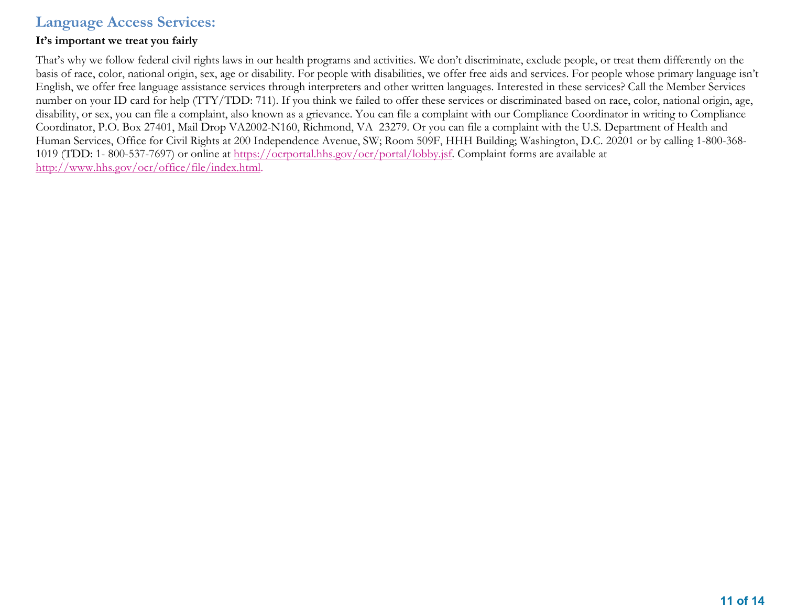#### **It's important we treat you fairly**

That's why we follow federal civil rights laws in our health programs and activities. We don't discriminate, exclude people, or treat them differently on the basis of race, color, national origin, sex, age or disability. For people with disabilities, we offer free aids and services. For people whose primary language isn't English, we offer free language assistance services through interpreters and other written languages. Interested in these services? Call the Member Services number on your ID card for help (TTY/TDD: 711). If you think we failed to offer these services or discriminated based on race, color, national origin, age, disability, or sex, you can file a complaint, also known as a grievance. You can file a complaint with our Compliance Coordinator in writing to Compliance Coordinator, P.O. Box 27401, Mail Drop VA2002-N160, Richmond, VA 23279. Or you can file a complaint with the U.S. Department of Health and Human Services, Office for Civil Rights at 200 Independence Avenue, SW; Room 509F, HHH Building; Washington, D.C. 20201 or by calling 1-800-368- 1019 (TDD: 1- 800-537-7697) or online at https://ocrportal.hhs.gov/ocr/portal/lobby.jsf. Complaint forms are available at http://www.hhs.gov/ocr/office/file/index.html.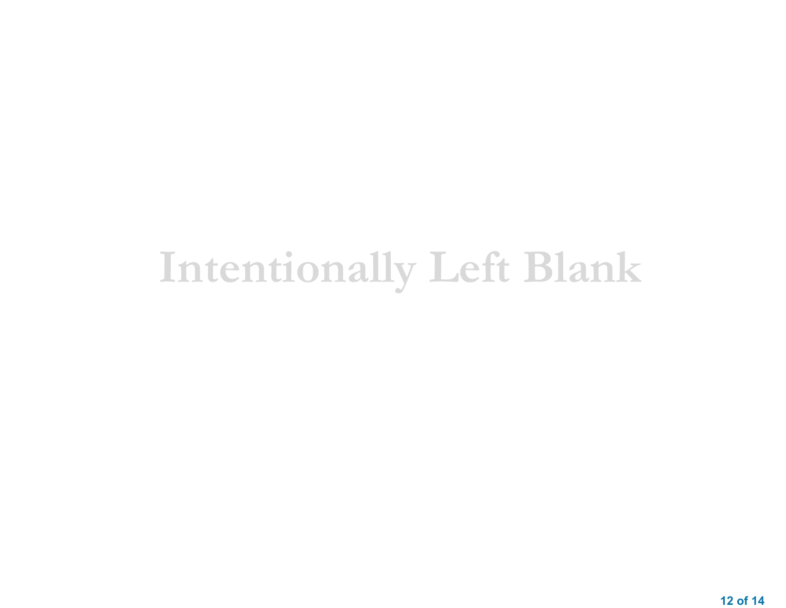# **Intentionally Left Blank**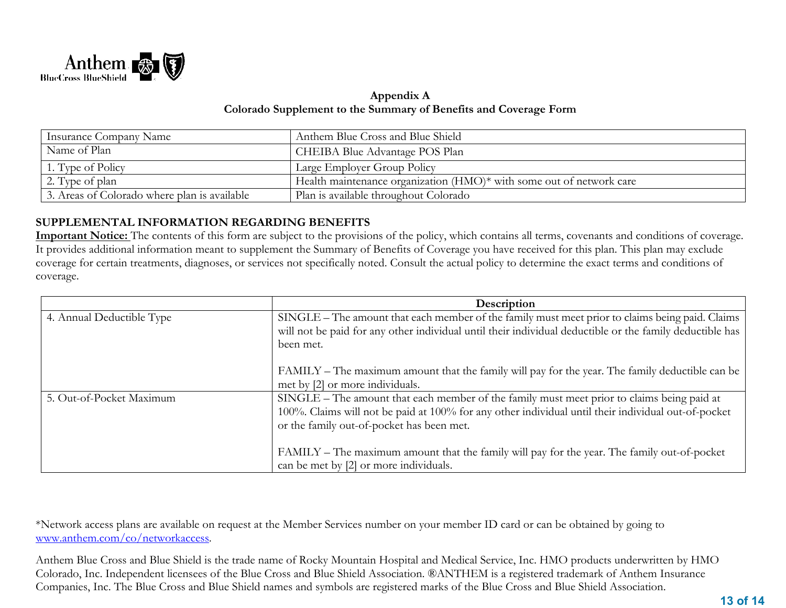

## **Appendix A Colorado Supplement to the Summary of Benefits and Coverage Form**

| Insurance Company Name                       | Anthem Blue Cross and Blue Shield                                       |
|----------------------------------------------|-------------------------------------------------------------------------|
| Name of Plan                                 | CHEIBA Blue Advantage POS Plan                                          |
| 1. Type of Policy                            | Large Employer Group Policy                                             |
| 2. Type of plan                              | Health maintenance organization $(HMO)^*$ with some out of network care |
| 3. Areas of Colorado where plan is available | Plan is available throughout Colorado                                   |

## **SUPPLEMENTAL INFORMATION REGARDING BENEFITS**

**Important Notice:** The contents of this form are subject to the provisions of the policy, which contains all terms, covenants and conditions of coverage. It provides additional information meant to supplement the Summary of Benefits of Coverage you have received for this plan. This plan may exclude coverage for certain treatments, diagnoses, or services not specifically noted. Consult the actual policy to determine the exact terms and conditions of coverage.

|                           | Description                                                                                                                                                                                                                                    |
|---------------------------|------------------------------------------------------------------------------------------------------------------------------------------------------------------------------------------------------------------------------------------------|
| 4. Annual Deductible Type | SINGLE – The amount that each member of the family must meet prior to claims being paid. Claims<br>will not be paid for any other individual until their individual deductible or the family deductible has<br>been met.                       |
|                           | FAMILY – The maximum amount that the family will pay for the year. The family deductible can be<br>met by [2] or more individuals.                                                                                                             |
| 5. Out-of-Pocket Maximum  | SINGLE – The amount that each member of the family must meet prior to claims being paid at<br>100%. Claims will not be paid at 100% for any other individual until their individual out-of-pocket<br>or the family out-of-pocket has been met. |
|                           | FAMILY - The maximum amount that the family will pay for the year. The family out-of-pocket<br>can be met by [2] or more individuals.                                                                                                          |

\*Network access plans are available on request at the Member Services number on your member ID card or can be obtained by going to www.anthem.com/co/networkaccess.

Anthem Blue Cross and Blue Shield is the trade name of Rocky Mountain Hospital and Medical Service, Inc. HMO products underwritten by HMO Colorado, Inc. Independent licensees of the Blue Cross and Blue Shield Association. ®ANTHEM is a registered trademark of Anthem Insurance Companies, Inc. The Blue Cross and Blue Shield names and symbols are registered marks of the Blue Cross and Blue Shield Association.